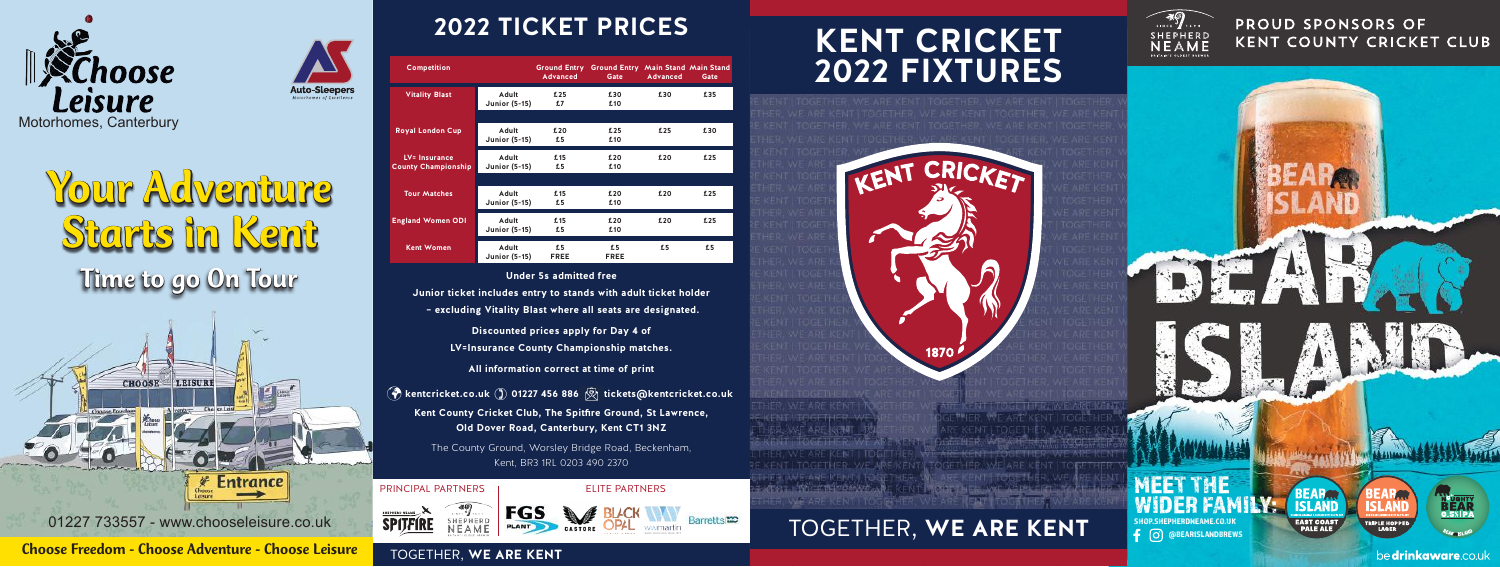

Time to go On Tour Your Adventure Starts in Kent



01227 733557 - www.chooseleisure.co.uk

Choose Freedom - Choose Adventure - Choose Leisure

# **2022 TICKET PRICES TICKET PRICES 2020**

| <b>Competition</b>                          |                               | Advanced          | Ground Entry Ground Entry Main Stand Main Stand<br>Gate | Advanced | Gate |
|---------------------------------------------|-------------------------------|-------------------|---------------------------------------------------------|----------|------|
| <b>Vitality Blast</b>                       | Adult<br><b>Junior (5-15)</b> | £25<br>£7         | £30<br>£10                                              | £30      | £35  |
|                                             |                               |                   |                                                         |          |      |
| <b>Royal London Cup</b>                     | Adult<br><b>Junior (5-15)</b> | £20<br>£5         | £25<br>£10                                              | £25      | £30  |
| LV= Insurance<br><b>County Championship</b> | Adult<br><b>Junior (5-15)</b> | £15<br>£5         | £20<br>£10                                              | £20      | £25  |
|                                             |                               |                   |                                                         |          |      |
| <b>Tour Matches</b>                         | Adult<br><b>Junior (5-15)</b> | £15<br>£5         | £20<br>£10                                              | £20      | £25  |
| <b>England Women ODI</b>                    | Adult<br><b>Junior (5-15)</b> | £15<br>£5         | £20<br>£10                                              | £20      | £25  |
| <b>Kent Women</b>                           | Adult<br><b>Junior (5-15)</b> | £5<br><b>FREE</b> | £5<br><b>FREE</b>                                       | £5       | £5   |

**Under 5s admitted free** Junior ticket includes entry to stands with adult ticket holder Junior ticket includes entry to stands with adult ticket holder **- excluding Vitality Blast where all seats are designated. Discounted prices apply for Day 4 of**  LV=Insurance County Championship matches. All information correct at time of print<br>. **kentcricket.co.uk 01227 456 886 tickets@kentcricket.co.uk Kent County Cricket Club, The Spitfire Ground, St Lawrence, Kent County Cricket Club The Spitfire Ground, St Lawrence, Old Dover Road, Canterbury Kent CT1 3NZ Old Dover Road, Canterbury, Kent CT1 3NZ** The County Ground, Worsley Bridge Road, Beckenham,  $K$ ent, BR3 1RL 0203 490 2370 Under 5s admitted free

**PRINCIPAL PARTNERS ELITE PARTNERS** PRINCIPAL PARTNERS | ELITE PARTNERS



TOGETHER, **WE ARE KENT www.spitfireale.co.uk /spitfireale** TOGETHER, **WE ARE KENT**

**SPITFIRE** 

## **KENT CRICKET 2022 FIXTURES 2020 FIXTURES KENT CRICKET**



**PROUD SPONSORS OF KENT COUNTY CRICKET CLUB**